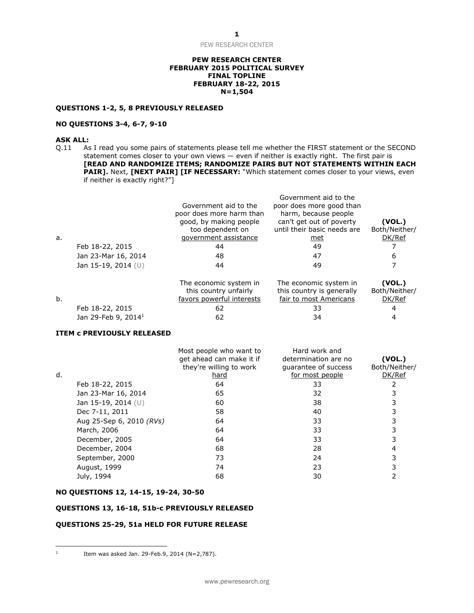#### **PEW RESEARCH CENTER FEBRUARY 2015 POLITICAL SURVEY FINAL TOPLINE FEBRUARY 18-22, 2015 N=1,504**

## **QUESTIONS 1-2, 5, 8 PREVIOUSLY RELEASED**

## **NO QUESTIONS 3-4, 6-7, 9-10**

## **ASK ALL:**

Q.11 As I read you some pairs of statements please tell me whether the FIRST statement or the SECOND statement comes closer to your own views — even if neither is exactly right. The first pair is **[READ AND RANDOMIZE ITEMS; RANDOMIZE PAIRS BUT NOT STATEMENTS WITHIN EACH**  PAIR]. Next, [NEXT PAIR] [IF NECESSARY: "Which statement comes closer to your views, even if neither is exactly right?"]

| a. |                       | Government aid to the<br>poor does more harm than<br>good, by making people<br>too dependent on<br>government assistance | Government aid to the<br>poor does more good than<br>harm, because people<br>can't get out of poverty<br>until their basic needs are<br>met | (VOL.)<br>Both/Neither/<br>DK/Ref         |
|----|-----------------------|--------------------------------------------------------------------------------------------------------------------------|---------------------------------------------------------------------------------------------------------------------------------------------|-------------------------------------------|
|    | Feb 18-22, 2015       | 44                                                                                                                       | 49                                                                                                                                          |                                           |
|    | Jan 23-Mar 16, 2014   | 48                                                                                                                       | 47                                                                                                                                          | 6                                         |
|    | Jan 15-19, 2014 $(U)$ | 44                                                                                                                       | 49                                                                                                                                          |                                           |
|    |                       | The economic system in<br>this country unfairly                                                                          | The economic system in<br>this country is generally                                                                                         | (VOL.)<br>Both/Neither/<br>. . <i>. .</i> |

| b. |                         | favors powerful interests | fair to most Americans | DK/Ref |
|----|-------------------------|---------------------------|------------------------|--------|
|    | Feb 18-22, 2015         |                           |                        |        |
|    | Jan 29-Feb 9, 2014 $^1$ |                           |                        |        |

#### **ITEM c PREVIOUSLY RELEASED**

|    |                          | Most people who want to<br>get ahead can make it if<br>they're willing to work | Hard work and<br>determination are no<br>guarantee of success | (VOL.)<br>Both/Neither/ |
|----|--------------------------|--------------------------------------------------------------------------------|---------------------------------------------------------------|-------------------------|
| d. |                          | hard                                                                           | for most people                                               | DK/Ref                  |
|    | Feb 18-22, 2015          | 64                                                                             | 33                                                            |                         |
|    | Jan 23-Mar 16, 2014      | 65                                                                             | 32                                                            |                         |
|    | Jan 15-19, 2014 (U)      | 60                                                                             | 38                                                            |                         |
|    | Dec 7-11, 2011           | 58                                                                             | 40                                                            |                         |
|    | Aug 25-Sep 6, 2010 (RVs) | 64                                                                             | 33                                                            |                         |
|    | March, 2006              | 64                                                                             | 33                                                            |                         |
|    | December, 2005           | 64                                                                             | 33                                                            |                         |
|    | December, 2004           | 68                                                                             | 28                                                            |                         |
|    | September, 2000          | 73                                                                             | 24                                                            |                         |
|    | August, 1999             | 74                                                                             | 23                                                            |                         |
|    | July, 1994               | 68                                                                             | 30                                                            |                         |

#### **NO QUESTIONS 12, 14-15, 19-24, 30-50**

#### **QUESTIONS 13, 16-18, 51b-c PREVIOUSLY RELEASED**

## **QUESTIONS 25-29, 51a HELD FOR FUTURE RELEASE**

 $\frac{1}{1}$ 

Item was asked Jan. 29-Feb.9, 2014 (N=2,787).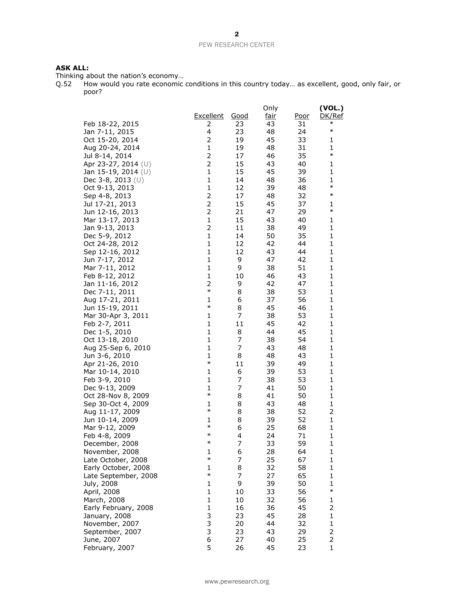## **ASK ALL:**

Thinking about the nation's economy…

Q.52 How would you rate economic conditions in this country today… as excellent, good, only fair, or poor?

|                      |                  |             | Only        |             | (VOL.)         |
|----------------------|------------------|-------------|-------------|-------------|----------------|
|                      | <b>Excellent</b> | <u>Good</u> | <u>fair</u> | <u>Poor</u> | DK/Ref         |
| Feb 18-22, 2015      | 2                | 23          | 43          | 31          | $\ast$         |
| Jan 7-11, 2015       | 4                | 23          | 48          | 24          | $\ast$         |
| Oct 15-20, 2014      | $\overline{2}$   | 19          | 45          | 33          | 1              |
| Aug 20-24, 2014      | 1                | 19          | 48          | 31          | 1              |
| Jul 8-14, 2014       | 2                | 17          | 46          | 35          | $\ast$         |
| Apr 23-27, 2014 (U)  | $\overline{c}$   | 15          | 43          | 40          | 1              |
| Jan 15-19, 2014 (U)  | $\mathbf{1}$     | 15          | 45          | 39          | 1              |
| Dec 3-8, 2013 $(U)$  | $\mathbf{1}$     | 14          | 48          | 36          | 1              |
| Oct 9-13, 2013       | 1                | 12          | 39          | 48          | $\ast$         |
| Sep 4-8, 2013        | $\overline{c}$   | 17          | 48          | 32          | $\ast$         |
| Jul 17-21, 2013      | $\overline{2}$   | 15          | 45          | 37          | 1              |
| Jun 12-16, 2013      | $\overline{c}$   | 21          | 47          | 29          | $\ast$         |
| Mar 13-17, 2013      | 1                | 15          | 43          | 40          | 1              |
| Jan 9-13, 2013       | 2                | 11          | 38          | 49          | 1              |
| Dec 5-9, 2012        | $\mathbf{1}$     | 14          | 50          | 35          | 1              |
| Oct 24-28, 2012      | 1                | 12          | 42          | 44          | 1              |
| Sep 12-16, 2012      | 1                | 12          | 43          | 44          | 1              |
| Jun 7-17, 2012       | $\mathbf{1}$     | 9           | 47          | 42          | 1              |
| Mar 7-11, 2012       | $\mathbf{1}$     | 9           | 38          | 51          | 1              |
| Feb 8-12, 2012       | 1                | 10          | 46          | 43          | 1              |
| Jan 11-16, 2012      | 2                | 9           | 42          | 47          | 1              |
| Dec 7-11, 2011       | $\ast$           | 8           | 38          | 53          | 1              |
| Aug 17-21, 2011      | 1                | 6           | 37          | 56          | 1              |
| Jun 15-19, 2011      | $\ast$           | 8           | 45          | 46          | 1              |
| Mar 30-Apr 3, 2011   | 1                | 7           | 38          | 53          | 1              |
| Feb 2-7, 2011        | $\mathbf{1}$     | 11          | 45          | 42          | 1              |
| Dec 1-5, 2010        | 1                | 8           | 44          | 45          | 1              |
| Oct 13-18, 2010      | 1                | 7           | 38          | 54          | 1              |
| Aug 25-Sep 6, 2010   | 1                | 7           | 43          | 48          | 1              |
| Jun 3-6, 2010        | 1                | 8           | 48          | 43          | 1              |
| Apr 21-26, 2010      | $\ast$           | 11          | 39          | 49          | 1              |
| Mar 10-14, 2010      | 1                | 6           | 39          | 53          | 1              |
| Feb 3-9, 2010        | $\mathbf{1}$     | 7           | 38          | 53          | 1              |
| Dec 9-13, 2009       | 1                | 7           | 41          | 50          | 1              |
| Oct 28-Nov 8, 2009   | $\ast$           | 8           | 41          | 50          | 1              |
| Sep 30-Oct 4, 2009   | 1                | 8           | 43          | 48          | $\mathbf 1$    |
| Aug 11-17, 2009      | $\ast$           | 8           | 38          | 52          | 2              |
| Jun 10-14, 2009      | 1                | 8           | 39          | 52          | 1              |
| Mar 9-12, 2009       | $\ast$           | 6           | 25          | 68          | 1              |
| Feb 4-8, 2009        | $\ast$           | 4           | 24          | 71          | 1              |
| December, 2008       | $\ast$           | 7           | 33          | 59          | 1              |
| November, 2008       | 1                | 6           | 28          | 64          | 1              |
| Late October, 2008   | $\ast$           | 7           | 25          | 67          | $\mathbf{1}$   |
| Early October, 2008  | $\mathbf{1}$     | 8           | 32          | 58          | $\mathbf{1}$   |
| Late September, 2008 | $\ast$           | 7           | 27          | 65          | 1              |
| July, 2008           | $\mathbf{1}$     | 9           | 39          | 50          | 1<br>$\ast$    |
| April, 2008          | $\mathbf{1}$     | 10          | 33          | 56          |                |
| March, 2008          | $\mathbf{1}$     | 10          | 32          | 56          | $\mathbf{1}$   |
| Early February, 2008 | 1                | 16          | 36          | 45          | 2              |
| January, 2008        | 3                | 23          | 45          | 28          | $\mathbf 1$    |
| November, 2007       | 3                | 20          | 44          | 32          | $\mathbf{1}$   |
| September, 2007      | 3                | 23          | 43          | 29          | $\overline{2}$ |
| June, 2007           | 6                | 27          | 40          | 25          | 2              |
| February, 2007       | 5                | 26          | 45          | 23          | $\mathbf{1}$   |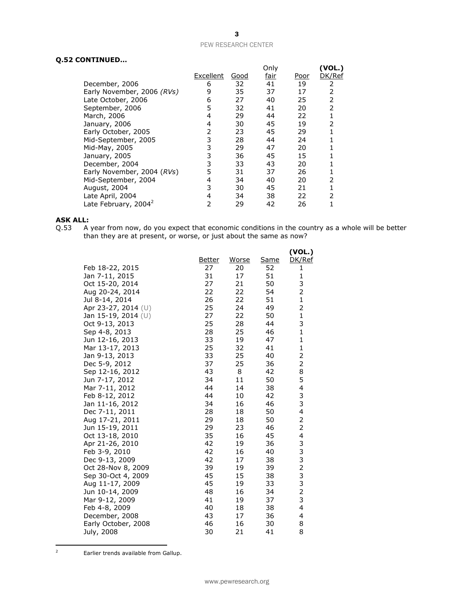## **Q.52 CONTINUED…**

| ,,,,,,,,,,,,,,,                  |           |      |              |      |                  |
|----------------------------------|-----------|------|--------------|------|------------------|
|                                  | Excellent | Good | Only<br>fair | Poor | (VOL.)<br>DK/Ref |
| December, 2006                   | 6         | 32   | 41           | 19   | 2                |
| Early November, 2006 (RVs)       | 9         | 35   | 37           | 17   | 2                |
| Late October, 2006               | 6         | 27   | 40           | 25   | 2                |
| September, 2006                  | 5         | 32   | 41           | 20   | 2                |
| March, 2006                      | 4         | 29   | 44           | 22   |                  |
| January, 2006                    | 4         | 30   | 45           | 19   | 2                |
| Early October, 2005              | 2         | 23   | 45           | 29   |                  |
| Mid-September, 2005              | 3         | 28   | 44           | 24   |                  |
| Mid-May, 2005                    | 3         | 29   | 47           | 20   |                  |
| January, 2005                    | 3         | 36   | 45           | 15   |                  |
| December, 2004                   | 3         | 33   | 43           | 20   |                  |
| Early November, 2004 (RVs)       | 5         | 31   | 37           | 26   |                  |
| Mid-September, 2004              | 4         | 34   | 40           | 20   | 2                |
| August, 2004                     | 3         | 30   | 45           | 21   |                  |
| Late April, 2004                 | 4         | 34   | 38           | 22   | $\mathcal{P}$    |
| Late February, 2004 <sup>2</sup> | 2         | 29   | 42           | 26   |                  |

# **ASK ALL:**<br>Q.53 A

Q.53 A year from now, do you expect that economic conditions in the country as a whole will be better than they are at present, or worse, or just about the same as now?

|                                    |                     |                    |                   | (VOL.)              |
|------------------------------------|---------------------|--------------------|-------------------|---------------------|
| Feb 18-22, 2015                    | <u>Better</u><br>27 | <u>Worse</u><br>20 | <b>Same</b><br>52 | DK/Ref<br>1         |
| Jan 7-11, 2015                     | 31                  | 17                 | 51                | 1                   |
| Oct 15-20, 2014                    | 27                  | 21                 | 50                | 3                   |
| Aug 20-24, 2014                    | 22                  | 22                 | 54                | 2                   |
| Jul 8-14, 2014                     | 26                  | 22                 | 51                | $\mathbf{1}$        |
| Apr 23-27, 2014 (U)                | 25                  | 24                 | 49                | 2                   |
| Jan 15-19, 2014 (U)                | 27                  | 22                 | 50                | $\mathbf{1}$        |
| Oct 9-13, 2013                     | 25                  | 28                 | 44                | 3                   |
| Sep 4-8, 2013                      | 28                  | 25                 | 46                | $\mathbf{1}$        |
| Jun 12-16, 2013                    | 33                  | 19                 | 47                | $\mathbf{1}$        |
| Mar 13-17, 2013                    | 25                  | 32                 | 41                | $\mathbf{1}$        |
| Jan 9-13, 2013                     | 33                  | 25                 | 40                | $\overline{2}$      |
| Dec 5-9, 2012                      | 37                  | 25                 | 36                | 2                   |
| Sep 12-16, 2012                    | 43                  | 8                  | 42                | 8                   |
| Jun 7-17, 2012                     | 34                  | 11                 | 50                | 5                   |
| Mar 7-11, 2012                     | 44                  | 14                 | 38                | 4                   |
| Feb 8-12, 2012                     | 44                  | 10                 | 42                | 3                   |
| Jan 11-16, 2012                    | 34                  | 16                 | 46                | 3                   |
| Dec 7-11, 2011                     | 28<br>29            | 18                 | 50                | 4                   |
| Aug 17-21, 2011                    | 29                  | 18<br>23           | 50<br>46          | 2<br>$\overline{c}$ |
| Jun 15-19, 2011<br>Oct 13-18, 2010 | 35                  | 16                 | 45                | 4                   |
| Apr 21-26, 2010                    | 42                  | 19                 | 36                |                     |
| Feb 3-9, 2010                      | 42                  | 16                 | 40                | 3332332             |
| Dec 9-13, 2009                     | 42                  | 17                 | 38                |                     |
| Oct 28-Nov 8, 2009                 | 39                  | 19                 | 39                |                     |
| Sep 30-Oct 4, 2009                 | 45                  | 15                 | 38                |                     |
| Aug 11-17, 2009                    | 45                  | 19                 | 33                |                     |
| Jun 10-14, 2009                    | 48                  | 16                 | 34                |                     |
| Mar 9-12, 2009                     | 41                  | 19                 | 37                | 3                   |
| Feb 4-8, 2009                      | 40                  | 18                 | 38                | 4                   |
| December, 2008                     | 43                  | 17                 | 36                | 4                   |
| Early October, 2008                | 46                  | 16                 | 30                | 8                   |
| July, 2008                         | 30                  | 21                 | 41                | 8                   |

 $\overline{2}$ Earlier trends available from Gallup.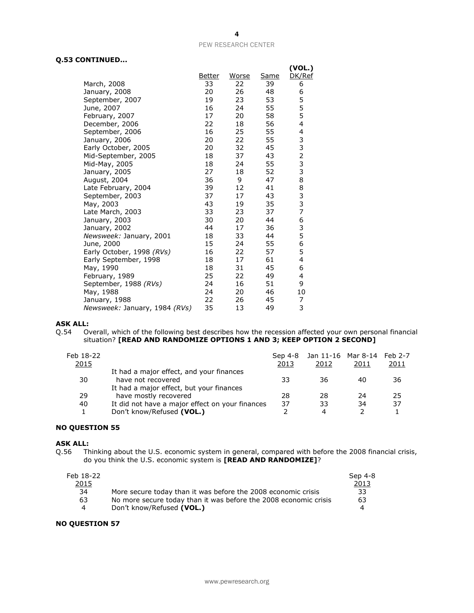## **Q.53 CONTINUED...**

|                               |        |       |             | (VOL.)                                     |
|-------------------------------|--------|-------|-------------|--------------------------------------------|
|                               | Better | Worse | <u>Same</u> | DK/Ref                                     |
| March, 2008                   | 33     | 22    | 39          | 6                                          |
| January, 2008                 | 20     | 26    | 48          | 6                                          |
| September, 2007               | 19     | 23    | 53          | 5                                          |
| June, 2007                    | 16     | 24    | 55          | 5                                          |
| February, 2007                | 17     | 20    | 58          | 5                                          |
| December, 2006                | 22     | 18    | 56          | 4                                          |
| September, 2006               | 16     | 25    | 55          | 4                                          |
| January, 2006                 | 20     | 22    | 55          |                                            |
| Early October, 2005           | 20     | 32    | 45          |                                            |
| Mid-September, 2005           | 18     | 37    | 43          | $\begin{array}{c} 3 \\ 2 \\ 3 \end{array}$ |
| Mid-May, 2005                 | 18     | 24    | 55          |                                            |
| January, 2005                 | 27     | 18    | 52          | 3                                          |
| August, 2004                  | 36     | 9     | 47          | 8                                          |
| Late February, 2004           | 39     | 12    | 41          | 8                                          |
| September, 2003               | 37     | 17    | 43          | 3<br>3                                     |
| May, 2003                     | 43     | 19    | 35          |                                            |
| Late March, 2003              | 33     | 23    | 37          | $\overline{7}$                             |
| January, 2003                 | 30     | 20    | 44          | 6                                          |
| January, 2002                 | 44     | 17    | 36          | 3                                          |
| Newsweek: January, 2001       | 18     | 33    | 44          | 5                                          |
| June, 2000                    | 15     | 24    | 55          | 6                                          |
| Early October, 1998 (RVs)     | 16     | 22    | 57          | 5                                          |
| Early September, 1998         | 18     | 17    | 61          | 4                                          |
| May, 1990                     | 18     | 31    | 45          | 6                                          |
| February, 1989                | 25     | 22    | 49          | 4                                          |
| September, 1988 (RVs)         | 24     | 16    | 51          | 9                                          |
| May, 1988                     | 24     | 20    | 46          | 10                                         |
| January, 1988                 | 22     | 26    | 45          | 7                                          |
| Newsweek: January, 1984 (RVs) | 35     | 13    | 49          | 3                                          |

# **ASK ALL:**<br>Q.54 0

Overall, which of the following best describes how the recession affected your own personal financial situation? **[READ AND RANDOMIZE OPTIONS 1 AND 3; KEEP OPTION 2 SECOND]**

| Feb 18-22<br>2015 |                                                                   | Sep 4-8<br>2013 | Jan 11-16 Mar 8-14 Feb 2-7<br>2012 | 2011 | 2011 |
|-------------------|-------------------------------------------------------------------|-----------------|------------------------------------|------|------|
| 30                | It had a major effect, and your finances<br>have not recovered    | 33              | 36                                 | 40   | 36   |
| 29                | It had a major effect, but your finances<br>have mostly recovered | 28              | 28                                 | 24   | 25   |
| 40                | It did not have a major effect on your finances                   | 37              | 33                                 | 34   | 37   |
|                   | Don't know/Refused (VOL.)                                         |                 | 4                                  |      |      |

## **NO QUESTION 55**

#### **ASK ALL:**

Q.56 Thinking about the U.S. economic system in general, compared with before the 2008 financial crisis, do you think the U.S. economic system is **[READ AND RANDOMIZE]**?

| Feb 18-22      |                                                                  | Sep 4-8 |
|----------------|------------------------------------------------------------------|---------|
| 2015           |                                                                  | 2013    |
| 34             | More secure today than it was before the 2008 economic crisis    | 33      |
| 63             | No more secure today than it was before the 2008 economic crisis | 63      |
| $\overline{a}$ | Don't know/Refused (VOL.)                                        | 4       |

## **NO QUESTION 57**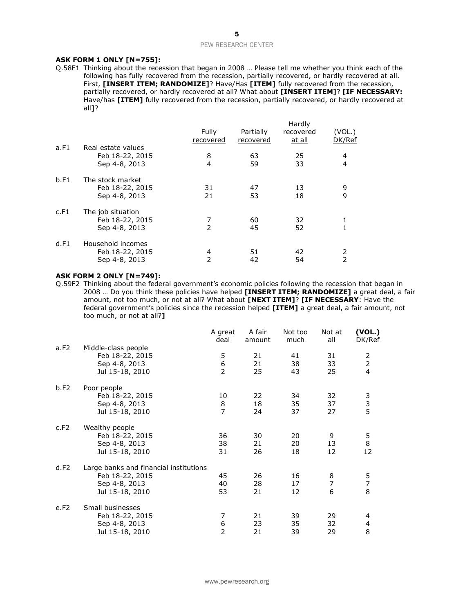#### **ASK FORM 1 ONLY [N=755]:**

Q.58F1 Thinking about the recession that began in 2008 … Please tell me whether you think each of the following has fully recovered from the recession, partially recovered, or hardly recovered at all. First, **[INSERT ITEM; RANDOMIZE]**? Have/Has **[ITEM]** fully recovered from the recession, partially recovered, or hardly recovered at all? What about **[INSERT ITEM]**? **[IF NECESSARY:**  Have/has **[ITEM]** fully recovered from the recession, partially recovered, or hardly recovered at all**]**?

|      |                                                        | Fully<br>recovered | Partially<br>recovered | Hardly<br>recovered<br>at all | (VOL.)<br>DK/Ref    |
|------|--------------------------------------------------------|--------------------|------------------------|-------------------------------|---------------------|
| a.F1 | Real estate values<br>Feb 18-22, 2015<br>Sep 4-8, 2013 | 8<br>4             | 63<br>59               | 25<br>33                      | 4<br>$\overline{4}$ |
| b.F1 | The stock market<br>Feb 18-22, 2015<br>Sep 4-8, 2013   | 31<br>21           | 47<br>53               | 13<br>18                      | 9<br>9              |
| c.F1 | The job situation<br>Feb 18-22, 2015<br>Sep 4-8, 2013  | 7<br>2             | 60<br>45               | 32<br>52                      |                     |
| d.F1 | Household incomes<br>Feb 18-22, 2015<br>Sep 4-8, 2013  | 4<br>2             | 51<br>42               | 42<br>54                      | 2<br>$\overline{2}$ |

#### **ASK FORM 2 ONLY [N=749]:**

Q.59F2 Thinking about the federal government's economic policies following the recession that began in 2008 … Do you think these policies have helped **[INSERT ITEM; RANDOMIZE]** a great deal, a fair amount, not too much, or not at all? What about **[NEXT ITEM]**? **[IF NECESSARY**: Have the federal government's policies since the recession helped **[ITEM]** a great deal, a fair amount, not too much, or not at all?**]**

|      |                                                                                               | A great<br><u>deal</u>    | A fair<br>amount | Not too<br>much | Not at<br>$all$          | (VOL.)<br>DK/Ref                            |
|------|-----------------------------------------------------------------------------------------------|---------------------------|------------------|-----------------|--------------------------|---------------------------------------------|
| a.F2 | Middle-class people<br>Feb 18-22, 2015<br>Sep 4-8, 2013<br>Jul 15-18, 2010                    | 5<br>6<br>$\overline{2}$  | 21<br>21<br>25   | 41<br>38<br>43  | 31<br>33<br>25           | 2<br>$\overline{2}$<br>4                    |
| b.F2 | Poor people<br>Feb 18-22, 2015<br>Sep 4-8, 2013<br>Jul 15-18, 2010                            | 10<br>8<br>$\overline{7}$ | 22<br>18<br>24   | 34<br>35<br>37  | 32<br>37<br>27           | 3<br>3<br>5                                 |
| c.F2 | Wealthy people<br>Feb 18-22, 2015<br>Sep 4-8, 2013<br>Jul 15-18, 2010                         | 36<br>38<br>31            | 30<br>21<br>26   | 20<br>20<br>18  | 9<br>13<br>12            | $\begin{array}{c} 5 \\ 8 \end{array}$<br>12 |
| d.F2 | Large banks and financial institutions<br>Feb 18-22, 2015<br>Sep 4-8, 2013<br>Jul 15-18, 2010 | 45<br>40<br>53            | 26<br>28<br>21   | 16<br>17<br>12  | 8<br>$\overline{7}$<br>6 | 5<br>$\overline{7}$<br>8                    |
| e.F2 | Small businesses<br>Feb 18-22, 2015<br>Sep 4-8, 2013<br>Jul 15-18, 2010                       | 7<br>6<br>$\overline{2}$  | 21<br>23<br>21   | 39<br>35<br>39  | 29<br>32<br>29           | 4<br>4<br>8                                 |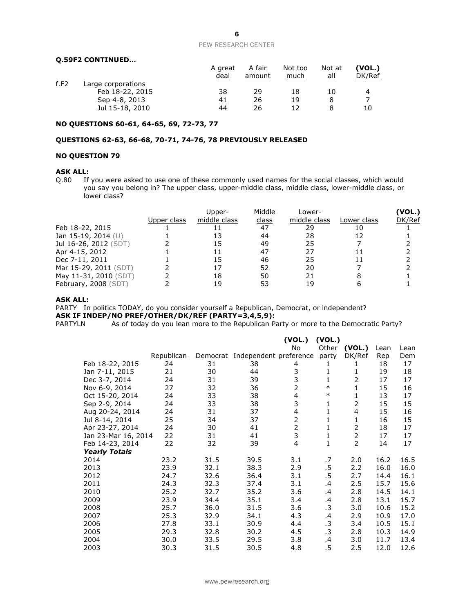#### **Q.59F2 CONTINUED…**

|      |                    | A great<br>deal | A fair<br>amount | Not too<br>much | Not at<br>all | (VOL.)<br>DK/Ref |
|------|--------------------|-----------------|------------------|-----------------|---------------|------------------|
| f.F2 | Large corporations |                 |                  |                 |               |                  |
|      | Feb 18-22, 2015    | 38              | 29               | 18              | 10            | 4                |
|      | Sep 4-8, 2013      | 41              | 26               | 19              |               |                  |
|      | Jul 15-18, 2010    | 44              | 26               |                 |               | 10               |

## **NO QUESTIONS 60-61, 64-65, 69, 72-73, 77**

## **QUESTIONS 62-63, 66-68, 70-71, 74-76, 78 PREVIOUSLY RELEASED**

### **NO QUESTION 79**

## **ASK ALL:**

Q.80 If you were asked to use one of these commonly used names for the social classes, which would you say you belong in? The upper class, upper-middle class, middle class, lower-middle class, or lower class?

|                       | Upper class | Upper-<br>middle class | Middle<br>class | Lower-<br>middle class | Lower class | <b>VOL.)</b><br>DK/Ref |
|-----------------------|-------------|------------------------|-----------------|------------------------|-------------|------------------------|
| Feb 18-22, 2015       |             |                        | 47              | 29                     |             |                        |
| Jan 15-19, 2014 (U)   |             |                        | 44              | 28                     |             |                        |
| Jul 16-26, 2012 (SDT) |             |                        | 49              | 25                     |             |                        |
| Apr 4-15, 2012        |             |                        | 47              | 27                     |             |                        |
| Dec 7-11, 2011        |             |                        | 46              | 25                     |             |                        |
| Mar 15-29, 2011 (SDT) |             |                        | 52              | 20                     |             |                        |
| May 11-31, 2010 (SDT) |             | 18                     | 50              | 21                     |             |                        |
| February, 2008 (SDT)  |             | 19                     | 53              | 19                     |             |                        |

#### **ASK ALL:**

PARTY In politics TODAY, do you consider yourself a Republican, Democrat, or independent?

**ASK IF INDEP/NO PREF/OTHER/DK/REF (PARTY=3,4,5,9):**<br>PARTYLN As of today do you lean more to the Republican Pa As of today do you lean more to the Republican Party or more to the Democratic Party?

|                      |            |          |                        | (VOL.)                  | (VOL.)      |                |            |            |
|----------------------|------------|----------|------------------------|-------------------------|-------------|----------------|------------|------------|
|                      |            |          |                        | No                      | Other       | (VOL.)         | Lean       | Lean       |
|                      | Republican | Democrat | Independent preference |                         | party       | DK/Ref         | <u>Rep</u> | <u>Dem</u> |
| Feb 18-22, 2015      | 24         | 31       | 38                     | 4                       | 1           | 1              | 18         | 17         |
| Jan 7-11, 2015       | 21         | 30       | 44                     | 3                       | 1           | 1              | 19         | 18         |
| Dec 3-7, 2014        | 24         | 31       | 39                     | 3                       | 1           | 2              | 17         | 17         |
| Nov 6-9, 2014        | 27         | 32       | 36                     | $\overline{2}$          | $\ast$      | 1              | 15         | 16         |
| Oct 15-20, 2014      | 24         | 33       | 38                     | $\overline{\mathbf{4}}$ | $\ast$      | 1              | 13         | 17         |
| Sep 2-9, 2014        | 24         | 33       | 38                     | 3                       | 1           | $\overline{2}$ | 15         | 15         |
| Aug 20-24, 2014      | 24         | 31       | 37                     | 4                       | 1           | $\overline{4}$ | 15         | 16         |
| Jul 8-14, 2014       | 25         | 34       | 37                     | $\overline{2}$          | $\mathbf 1$ | 1              | 16         | 15         |
| Apr 23-27, 2014      | 24         | 30       | 41                     | $\overline{2}$          | 1           | 2              | 18         | 17         |
| Jan 23-Mar 16, 2014  | 22         | 31       | 41                     | 3                       | 1           | 2              | 17         | 17         |
| Feb 14-23, 2014      | 22         | 32       | 39                     | 4                       | 1           | $\overline{2}$ | 14         | 17         |
| <b>Yearly Totals</b> |            |          |                        |                         |             |                |            |            |
| 2014                 | 23.2       | 31.5     | 39.5                   | 3.1                     | .7          | 2.0            | 16.2       | 16.5       |
| 2013                 | 23.9       | 32.1     | 38.3                   | 2.9                     | .5          | 2.2            | 16.0       | 16.0       |
| 2012                 | 24.7       | 32.6     | 36.4                   | 3.1                     | .5          | 2.7            | 14.4       | 16.1       |
| 2011                 | 24.3       | 32.3     | 37.4                   | 3.1                     | .4          | 2.5            | 15.7       | 15.6       |
| 2010                 | 25.2       | 32.7     | 35.2                   | 3.6                     | .4          | 2.8            | 14.5       | 14.1       |
| 2009                 | 23.9       | 34.4     | 35.1                   | 3.4                     | .4          | 2.8            | 13.1       | 15.7       |
| 2008                 | 25.7       | 36.0     | 31.5                   | 3.6                     | .3          | 3.0            | 10.6       | 15.2       |
| 2007                 | 25.3       | 32.9     | 34.1                   | 4.3                     | .4          | 2.9            | 10.9       | 17.0       |
| 2006                 | 27.8       | 33.1     | 30.9                   | 4.4                     | .3          | 3.4            | 10.5       | 15.1       |
| 2005                 | 29.3       | 32.8     | 30.2                   | 4.5                     | .3          | 2.8            | 10.3       | 14.9       |
| 2004                 | 30.0       | 33.5     | 29.5                   | 3.8                     | .4          | 3.0            | 11.7       | 13.4       |
| 2003                 | 30.3       | 31.5     | 30.5                   | 4.8                     | .5          | 2.5            | 12.0       | 12.6       |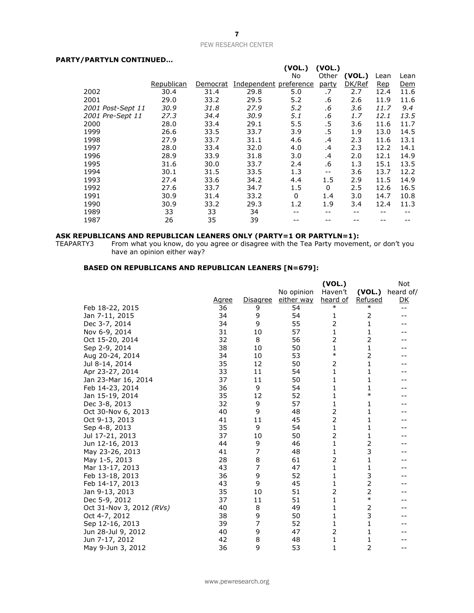## **PARTY/PARTYLN CONTINUED…**

|                   |            |          |                        | (VOL.) | (VOL.)   |        |            |      |
|-------------------|------------|----------|------------------------|--------|----------|--------|------------|------|
|                   |            |          |                        | No     | Other    | (VOL.) | Lean       | Lean |
|                   | Republican | Democrat | Independent preference |        | party    | DK/Ref | <b>Rep</b> | Dem  |
| 2002              | 30.4       | 31.4     | 29.8                   | 5.0    | .7       | 2.7    | 12.4       | 11.6 |
| 2001              | 29.0       | 33.2     | 29.5                   | 5.2    | .6       | 2.6    | 11.9       | 11.6 |
| 2001 Post-Sept 11 | 30.9       | 31.8     | 27.9                   | 5.2    | .6       | 3.6    | 11.7       | 9.4  |
| 2001 Pre-Sept 11  | 27.3       | 34.4     | 30.9                   | 5.1    | .6       | 1.7    | 12.1       | 13.5 |
| 2000              | 28.0       | 33.4     | 29.1                   | 5.5    | .5       | 3.6    | 11.6       | 11.7 |
| 1999              | 26.6       | 33.5     | 33.7                   | 3.9    | .5       | 1.9    | 13.0       | 14.5 |
| 1998              | 27.9       | 33.7     | 31.1                   | 4.6    | .4       | 2.3    | 11.6       | 13.1 |
| 1997              | 28.0       | 33.4     | 32.0                   | 4.0    | .4       | 2.3    | 12.2       | 14.1 |
| 1996              | 28.9       | 33.9     | 31.8                   | 3.0    | .4       | 2.0    | 12.1       | 14.9 |
| 1995              | 31.6       | 30.0     | 33.7                   | 2.4    | .6       | 1.3    | 15.1       | 13.5 |
| 1994              | 30.1       | 31.5     | 33.5                   | 1.3    | $- -$    | 3.6    | 13.7       | 12.2 |
| 1993              | 27.4       | 33.6     | 34.2                   | 4.4    | 1.5      | 2.9    | 11.5       | 14.9 |
| 1992              | 27.6       | 33.7     | 34.7                   | 1.5    | $\Omega$ | 2.5    | 12.6       | 16.5 |
| 1991              | 30.9       | 31.4     | 33.2                   | 0      | 1.4      | 3.0    | 14.7       | 10.8 |
| 1990              | 30.9       | 33.2     | 29.3                   | 1.2    | 1.9      | 3.4    | 12.4       | 11.3 |
| 1989              | 33         | 33       | 34                     |        |          |        |            |      |
| 1987              | 26         | 35       | 39                     |        |          |        |            |      |

#### **ASK REPUBLICANS AND REPUBLICAN LEANERS ONLY (PARTY=1 OR PARTYLN=1):**

TEAPARTY3 From what you know, do you agree or disagree with the Tea Party movement, or don't you have an opinion either way?

## **BASED ON REPUBLICANS AND REPUBLICAN LEANERS [N=679]:**

|                          |       |          |            | (VOL.)       |         | Not       |
|--------------------------|-------|----------|------------|--------------|---------|-----------|
|                          |       |          | No opinion | Haven't      | (VOL.)  | heard of/ |
|                          | Agree | Disagree | either way | heard of     | Refused | <u>DK</u> |
| Feb 18-22, 2015          | 36    | 9        | 54         | $\ast$       | $\ast$  | $-$       |
| Jan 7-11, 2015           | 34    | 9        | 54         | 1            | 2       |           |
| Dec 3-7, 2014            | 34    | 9        | 55         | 2            | 1       |           |
| Nov 6-9, 2014            | 31    | 10       | 57         | 1            | 1       |           |
| Oct 15-20, 2014          | 32    | 8        | 56         | 2            | 2       |           |
| Sep 2-9, 2014            | 38    | 10       | 50         | 1            | 1       |           |
| Aug 20-24, 2014          | 34    | 10       | 53         | $\ast$       | 2       |           |
| Jul 8-14, 2014           | 35    | 12       | 50         | 2            | 1       |           |
| Apr 23-27, 2014          | 33    | 11       | 54         | 1            | 1       |           |
| Jan 23-Mar 16, 2014      | 37    | 11       | 50         | 1            | 1       |           |
| Feb 14-23, 2014          | 36    | 9        | 54         | 1            | 1       |           |
| Jan 15-19, 2014          | 35    | 12       | 52         | 1            | $\ast$  |           |
| Dec 3-8, 2013            | 32    | 9        | 57         | $\mathbf{1}$ | 1       |           |
| Oct 30-Nov 6, 2013       | 40    | 9        | 48         | 2            | 1       |           |
| Oct 9-13, 2013           | 41    | 11       | 45         | 2            | 1       |           |
| Sep 4-8, 2013            | 35    | 9        | 54         | 1            | 1       |           |
| Jul 17-21, 2013          | 37    | 10       | 50         | 2            | 1       |           |
| Jun 12-16, 2013          | 44    | 9        | 46         | $\mathbf{1}$ | 2       |           |
| May 23-26, 2013          | 41    | 7        | 48         | 1            | 3       |           |
| May 1-5, 2013            | 28    | 8        | 61         | 2            | 1       |           |
| Mar 13-17, 2013          | 43    | 7        | 47         | $\mathbf{1}$ | 1       |           |
| Feb 13-18, 2013          | 36    | 9        | 52         | 1            | 3       |           |
| Feb 14-17, 2013          | 43    | 9        | 45         | 1            | 2       |           |
| Jan 9-13, 2013           | 35    | 10       | 51         | 2            | 2       |           |
| Dec 5-9, 2012            | 37    | 11       | 51         | 1            | $\ast$  |           |
| Oct 31-Nov 3, 2012 (RVs) | 40    | 8        | 49         | 1            | 2       |           |
| Oct 4-7, 2012            | 38    | 9        | 50         | 1            | 3       |           |
| Sep 12-16, 2013          | 39    | 7        | 52         | 1            | 1       |           |
| Jun 28-Jul 9, 2012       | 40    | 9        | 47         | 2            | 1       |           |
| Jun 7-17, 2012           | 42    | 8        | 48         | 1            | 1       |           |
| May 9-Jun 3, 2012        | 36    | 9        | 53         | $\mathbf{1}$ | 2       | $-$       |